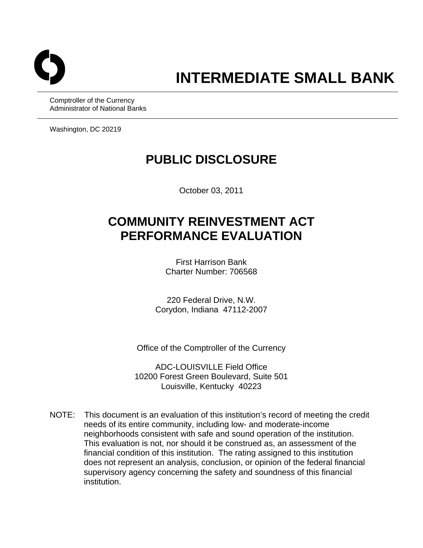

Comptroller of the Currency Administrator of National Banks

Washington, DC 20219

## **PUBLIC DISCLOSURE**

October 03, 2011

# **COMMUNITY REINVESTMENT ACT PERFORMANCE EVALUATION**

First Harrison Bank Charter Number: 706568

220 Federal Drive, N.W. Corydon, Indiana 47112-2007

Office of the Comptroller of the Currency

ADC-LOUISVILLE Field Office 10200 Forest Green Boulevard, Suite 501 Louisville, Kentucky 40223

NOTE: This document is an evaluation of this institution's record of meeting the credit needs of its entire community, including low- and moderate-income neighborhoods consistent with safe and sound operation of the institution. This evaluation is not, nor should it be construed as, an assessment of the financial condition of this institution. The rating assigned to this institution does not represent an analysis, conclusion, or opinion of the federal financial supervisory agency concerning the safety and soundness of this financial institution.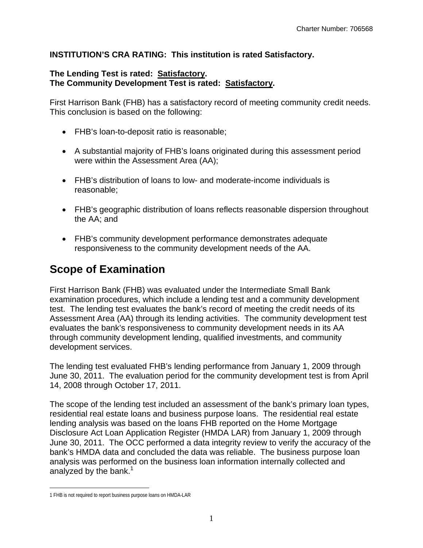#### **INSTITUTION'S CRA RATING: This institution is rated Satisfactory.**

#### **The Lending Test is rated: Satisfactory. The Community Development Test is rated: Satisfactory.**

First Harrison Bank (FHB) has a satisfactory record of meeting community credit needs. This conclusion is based on the following:

- FHB's loan-to-deposit ratio is reasonable;
- A substantial majority of FHB's loans originated during this assessment period were within the Assessment Area (AA);
- FHB's distribution of loans to low- and moderate-income individuals is reasonable;
- FHB's geographic distribution of loans reflects reasonable dispersion throughout the AA; and
- FHB's community development performance demonstrates adequate responsiveness to the community development needs of the AA.

### **Scope of Examination**

First Harrison Bank (FHB) was evaluated under the Intermediate Small Bank examination procedures, which include a lending test and a community development test. The lending test evaluates the bank's record of meeting the credit needs of its Assessment Area (AA) through its lending activities. The community development test evaluates the bank's responsiveness to community development needs in its AA through community development lending, qualified investments, and community development services.

The lending test evaluated FHB's lending performance from January 1, 2009 through June 30, 2011. The evaluation period for the community development test is from April 14, 2008 through October 17, 2011.

analyzed by the bank. $1$ The scope of the lending test included an assessment of the bank's primary loan types, residential real estate loans and business purpose loans. The residential real estate lending analysis was based on the loans FHB reported on the Home Mortgage Disclosure Act Loan Application Register (HMDA LAR) from January 1, 2009 through June 30, 2011. The OCC performed a data integrity review to verify the accuracy of the bank's HMDA data and concluded the data was reliable. The business purpose loan analysis was performed on the business loan information internally collected and

 $\overline{a}$ 

<sup>1</sup> FHB is not required to report business purpose loans on HMDA-LAR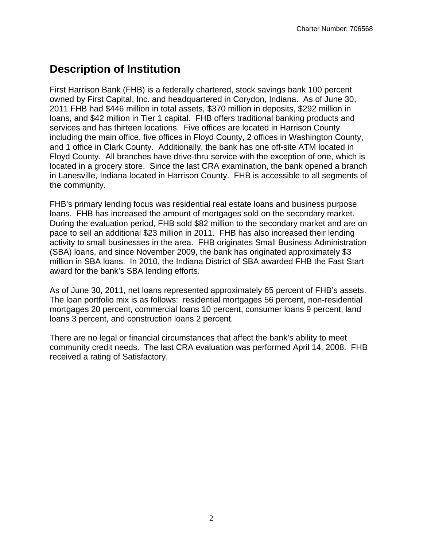### **Description of Institution**

First Harrison Bank (FHB) is a federally chartered, stock savings bank 100 percent owned by First Capital, Inc. and headquartered in Corydon, Indiana. As of June 30, 2011 FHB had \$446 million in total assets, \$370 million in deposits, \$292 million in loans, and \$42 million in Tier 1 capital. FHB offers traditional banking products and services and has thirteen locations. Five offices are located in Harrison County including the main office, five offices in Floyd County, 2 offices in Washington County, and 1 office in Clark County. Additionally, the bank has one off-site ATM located in Floyd County. All branches have drive-thru service with the exception of one, which is located in a grocery store. Since the last CRA examination, the bank opened a branch in Lanesville, Indiana located in Harrison County. FHB is accessible to all segments of the community.

FHB's primary lending focus was residential real estate loans and business purpose loans. FHB has increased the amount of mortgages sold on the secondary market. During the evaluation period, FHB sold \$82 million to the secondary market and are on pace to sell an additional \$23 million in 2011. FHB has also increased their lending activity to small businesses in the area. FHB originates Small Business Administration (SBA) loans, and since November 2009, the bank has originated approximately \$3 million in SBA loans. In 2010, the Indiana District of SBA awarded FHB the Fast Start award for the bank's SBA lending efforts.

As of June 30, 2011, net loans represented approximately 65 percent of FHB's assets. The loan portfolio mix is as follows: residential mortgages 56 percent, non-residential mortgages 20 percent, commercial loans 10 percent, consumer loans 9 percent, land loans 3 percent, and construction loans 2 percent.

There are no legal or financial circumstances that affect the bank's ability to meet community credit needs. The last CRA evaluation was performed April 14, 2008. FHB received a rating of Satisfactory.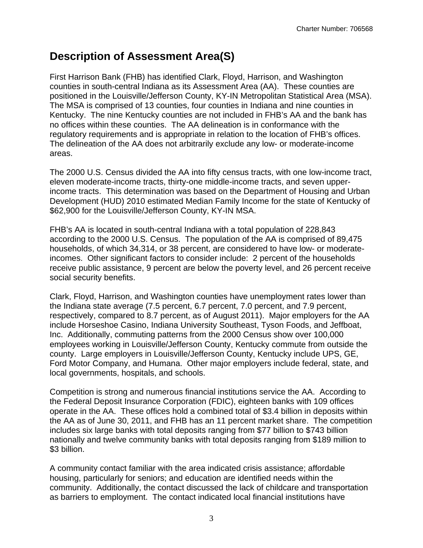### **Description of Assessment Area(S)**

First Harrison Bank (FHB) has identified Clark, Floyd, Harrison, and Washington counties in south-central Indiana as its Assessment Area (AA). These counties are positioned in the Louisville/Jefferson County, KY-IN Metropolitan Statistical Area (MSA). The MSA is comprised of 13 counties, four counties in Indiana and nine counties in Kentucky. The nine Kentucky counties are not included in FHB's AA and the bank has no offices within these counties. The AA delineation is in conformance with the regulatory requirements and is appropriate in relation to the location of FHB's offices. The delineation of the AA does not arbitrarily exclude any low- or moderate-income areas.

The 2000 U.S. Census divided the AA into fifty census tracts, with one low-income tract, eleven moderate-income tracts, thirty-one middle-income tracts, and seven upperincome tracts. This determination was based on the Department of Housing and Urban Development (HUD) 2010 estimated Median Family Income for the state of Kentucky of \$62,900 for the Louisville/Jefferson County, KY-IN MSA.

FHB's AA is located in south-central Indiana with a total population of 228,843 according to the 2000 U.S. Census. The population of the AA is comprised of 89,475 households, of which 34,314, or 38 percent, are considered to have low- or moderateincomes. Other significant factors to consider include: 2 percent of the households receive public assistance, 9 percent are below the poverty level, and 26 percent receive social security benefits.

Clark, Floyd, Harrison, and Washington counties have unemployment rates lower than the Indiana state average (7.5 percent, 6.7 percent, 7.0 percent, and 7.9 percent, respectively, compared to 8.7 percent, as of August 2011). Major employers for the AA include Horseshoe Casino, Indiana University Southeast, Tyson Foods, and Jeffboat, Inc. Additionally, commuting patterns from the 2000 Census show over 100,000 employees working in Louisville/Jefferson County, Kentucky commute from outside the county. Large employers in Louisville/Jefferson County, Kentucky include UPS, GE, Ford Motor Company, and Humana. Other major employers include federal, state, and local governments, hospitals, and schools.

Competition is strong and numerous financial institutions service the AA. According to the Federal Deposit Insurance Corporation (FDIC), eighteen banks with 109 offices operate in the AA. These offices hold a combined total of \$3.4 billion in deposits within the AA as of June 30, 2011, and FHB has an 11 percent market share. The competition includes six large banks with total deposits ranging from \$77 billion to \$743 billion nationally and twelve community banks with total deposits ranging from \$189 million to \$3 billion.

A community contact familiar with the area indicated crisis assistance; affordable housing, particularly for seniors; and education are identified needs within the community. Additionally, the contact discussed the lack of childcare and transportation as barriers to employment. The contact indicated local financial institutions have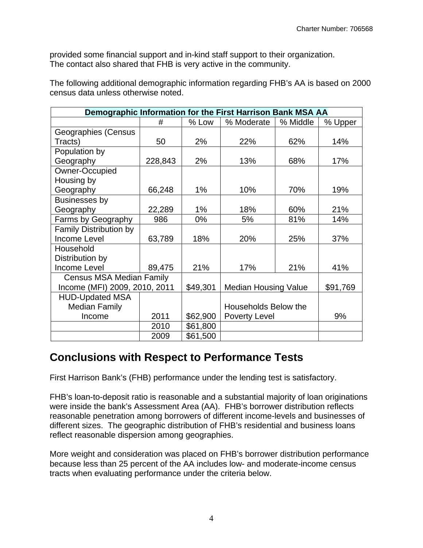provided some financial support and in-kind staff support to their organization. The contact also shared that FHB is very active in the community.

The following additional demographic information regarding FHB's AA is based on 2000 census data unless otherwise noted.

| Demographic Information for the First Harrison Bank MSA AA |         |          |                             |          |          |  |  |  |  |  |  |
|------------------------------------------------------------|---------|----------|-----------------------------|----------|----------|--|--|--|--|--|--|
|                                                            | #       | % Low    | % Moderate                  | % Middle | % Upper  |  |  |  |  |  |  |
| Geographies (Census                                        |         |          |                             |          |          |  |  |  |  |  |  |
| Tracts)                                                    | 50      | 2%       | 22%                         | 62%      | 14%      |  |  |  |  |  |  |
| Population by                                              |         |          |                             |          |          |  |  |  |  |  |  |
| Geography                                                  | 228,843 | 2%       | 13%                         | 68%      | 17%      |  |  |  |  |  |  |
| Owner-Occupied                                             |         |          |                             |          |          |  |  |  |  |  |  |
| Housing by                                                 |         |          |                             |          |          |  |  |  |  |  |  |
| Geography                                                  | 66,248  | 1%       | 10%                         | 70%      | 19%      |  |  |  |  |  |  |
| Businesses by                                              |         |          |                             |          |          |  |  |  |  |  |  |
| Geography                                                  | 22,289  | $1\%$    | 18%                         | 60%      | 21%      |  |  |  |  |  |  |
| Farms by Geography                                         | 986     | $0\%$    | 5%                          | 81%      | 14%      |  |  |  |  |  |  |
| <b>Family Distribution by</b>                              |         |          |                             |          |          |  |  |  |  |  |  |
| Income Level                                               | 63,789  | 18%      | 20%                         | 25%      | 37%      |  |  |  |  |  |  |
| Household                                                  |         |          |                             |          |          |  |  |  |  |  |  |
| Distribution by                                            |         |          |                             |          |          |  |  |  |  |  |  |
| <b>Income Level</b>                                        | 89,475  | 21%      | 17%                         | 21%      | 41%      |  |  |  |  |  |  |
| <b>Census MSA Median Family</b>                            |         |          |                             |          |          |  |  |  |  |  |  |
| Income (MFI) 2009, 2010, 2011                              |         | \$49,301 | <b>Median Housing Value</b> |          | \$91,769 |  |  |  |  |  |  |
| <b>HUD-Updated MSA</b>                                     |         |          |                             |          |          |  |  |  |  |  |  |
| <b>Median Family</b>                                       |         |          | Households Below the        |          |          |  |  |  |  |  |  |
| Income                                                     | 2011    | \$62,900 | <b>Poverty Level</b>        |          | 9%       |  |  |  |  |  |  |
|                                                            | 2010    | \$61,800 |                             |          |          |  |  |  |  |  |  |
|                                                            | 2009    | \$61,500 |                             |          |          |  |  |  |  |  |  |

### **Conclusions with Respect to Performance Tests**

First Harrison Bank's (FHB) performance under the lending test is satisfactory.

FHB's loan-to-deposit ratio is reasonable and a substantial majority of loan originations were inside the bank's Assessment Area (AA). FHB's borrower distribution reflects reasonable penetration among borrowers of different income-levels and businesses of different sizes. The geographic distribution of FHB's residential and business loans reflect reasonable dispersion among geographies.

 tracts when evaluating performance under the criteria below. More weight and consideration was placed on FHB's borrower distribution performance because less than 25 percent of the AA includes low- and moderate-income census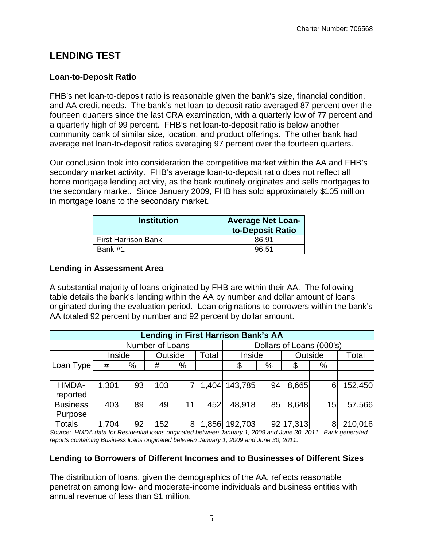### **LENDING TEST**

#### **Loan-to-Deposit Ratio**

FHB's net loan-to-deposit ratio is reasonable given the bank's size, financial condition, and AA credit needs. The bank's net loan-to-deposit ratio averaged 87 percent over the fourteen quarters since the last CRA examination, with a quarterly low of 77 percent and a quarterly high of 99 percent. FHB's net loan-to-deposit ratio is below another community bank of similar size, location, and product offerings. The other bank had average net loan-to-deposit ratios averaging 97 percent over the fourteen quarters.

in mortgage loans to the secondary market. Our conclusion took into consideration the competitive market within the AA and FHB's secondary market activity. FHB's average loan-to-deposit ratio does not reflect all home mortgage lending activity, as the bank routinely originates and sells mortgages to the secondary market. Since January 2009, FHB has sold approximately \$105 million

| <b>Institution</b>         | <b>Average Net Loan-</b><br>to-Deposit Ratio |
|----------------------------|----------------------------------------------|
| <b>First Harrison Bank</b> | 86.91                                        |
| Bank #1                    | 96.51                                        |

#### **Lending in Assessment Area**

A substantial majority of loans originated by FHB are within their AA. The following table details the bank's lending within the AA by number and dollar amount of loans originated during the evaluation period. Loan originations to borrowers within the bank's AA totaled 92 percent by number and 92 percent by dollar amount.

| <b>Lending in First Harrison Bank's AA</b> |        |    |                 |         |       |                          |    |           |    |         |  |  |  |
|--------------------------------------------|--------|----|-----------------|---------|-------|--------------------------|----|-----------|----|---------|--|--|--|
|                                            |        |    | Number of Loans |         |       | Dollars of Loans (000's) |    |           |    |         |  |  |  |
|                                            | Inside |    |                 | Outside | Total | Inside                   |    | Outside   |    | Total   |  |  |  |
| Loan Type                                  | #      | %  | #               | %       |       | \$                       | %  | \$        | %  |         |  |  |  |
|                                            |        |    |                 |         |       |                          |    |           |    |         |  |  |  |
| HMDA-                                      | 1,301  | 93 | 103             |         | 1,404 | 143,785                  | 94 | 8,665     | 6  | 152,450 |  |  |  |
| reported                                   |        |    |                 |         |       |                          |    |           |    |         |  |  |  |
| <b>Business</b>                            | 403    | 89 | 49              | 11      | 452   | 48,918                   | 85 | 8,648     | 15 | 57,566  |  |  |  |
| Purpose                                    |        |    |                 |         |       |                          |    |           |    |         |  |  |  |
| Totals                                     | 1,704  | 92 | 152             | 8       | 1,856 | 192,703                  |    | 92 17,313 | 8  | 210,016 |  |  |  |

*Source: HMDA data for Residential loans originated between January 1, 2009 and June 30, 2011. Bank generated reports containing Business loans originated between January 1, 2009 and June 30, 2011.* 

#### **Lending to Borrowers of Different Incomes and to Businesses of Different Sizes**

The distribution of loans, given the demographics of the AA, reflects reasonable penetration among low- and moderate-income individuals and business entities with annual revenue of less than \$1 million.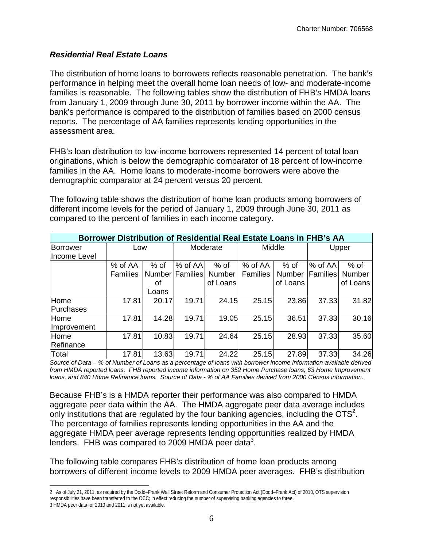#### *Residential Real Estate Loans*

The distribution of home loans to borrowers reflects reasonable penetration. The bank's performance in helping meet the overall home loan needs of low- and moderate-income families is reasonable. The following tables show the distribution of FHB's HMDA loans from January 1, 2009 through June 30, 2011 by borrower income within the AA. The bank's performance is compared to the distribution of families based on 2000 census reports. The percentage of AA families represents lending opportunities in the assessment area.

FHB's loan distribution to low-income borrowers represented 14 percent of total loan originations, which is below the demographic comparator of 18 percent of low-income families in the AA. Home loans to moderate-income borrowers were above the demographic comparator at 24 percent versus 20 percent.

The following table shows the distribution of home loan products among borrowers of different income levels for the period of January 1, 2009 through June 30, 2011 as compared to the percent of families in each income category.

| Borrower Distribution of Residential Real Estate Loans in FHB's AA |                 |        |                 |               |                 |               |          |               |  |  |
|--------------------------------------------------------------------|-----------------|--------|-----------------|---------------|-----------------|---------------|----------|---------------|--|--|
| <b>Borrower</b>                                                    | Low             |        |                 | Moderate      |                 | Middle        |          | Upper         |  |  |
| Ilncome Level                                                      |                 |        |                 |               |                 |               |          |               |  |  |
|                                                                    | % of AA         | $%$ of | $%$ of AA       | $%$ of        | % of AA         | % of          | % of AA  | $%$ of        |  |  |
|                                                                    | <b>Families</b> |        | Number Families | <b>Number</b> | <b>Families</b> | <b>Number</b> | Families | <b>Number</b> |  |  |
|                                                                    |                 | οf     |                 | of Loans      |                 | of Loans      |          | of Loans      |  |  |
|                                                                    |                 | Loans  |                 |               |                 |               |          |               |  |  |
| Home                                                               | 17.81           | 20.17  | 19.71           | 24.15         | 25.15           | 23.86         | 37.33    | 31.82         |  |  |
| Purchases                                                          |                 |        |                 |               |                 |               |          |               |  |  |
| Home                                                               | 17.81           | 14.28  | 19.71           | 19.05         | 25.15           | 36.51         | 37.33    | 30.16         |  |  |
| <b>Improvement</b>                                                 |                 |        |                 |               |                 |               |          |               |  |  |
| Home                                                               | 17.81           | 10.83  | 19.71           | 24.64         | 25.15           | 28.93         | 37.33    | 35.60         |  |  |
| Refinance                                                          |                 |        |                 |               |                 |               |          |               |  |  |
| Total                                                              | 17.81           | 13.63  | 19.71           | 24.22         | 25.15           | 27.89         | 37.33    | 34.26         |  |  |

*Source of Data – % of Number of Loans as a percentage of loans with borrower income information available derived from HMDA reported loans. FHB reported income information on 352 Home Purchase loans, 63 Home Improvement loans, and 840 Home Refinance loans. Source of Data - % of AA Families derived from 2000 Census information.* 

Because FHB's is a HMDA reporter their performance was also compared to HMDA aggregate peer data within the AA. The HMDA aggregate peer data average includes only institutions that are regulated by the four banking agencies, including the  $\text{OTS}^2$ . The percentage of families represents lending opportunities in the AA and the aggregate HMDA peer average represents lending opportunities realized by HMDA lenders. FHB was compared to 2009 HMDA peer data<sup>3</sup>.

The following table compares FHB's distribution of home loan products among borrowers of different income levels to 2009 HMDA peer averages. FHB's distribution

 $\overline{a}$ 2 As of July 21, 2011, as required by the Dodd–Frank Wall Street Reform and Consumer Protection Act (Dodd–Frank Act) of 2010, OTS supervision responsibilities have been transferred to the OCC; in effect reducing the number of supervising banking agencies to three. 3 HMDA peer data for 2010 and 2011 is not yet available.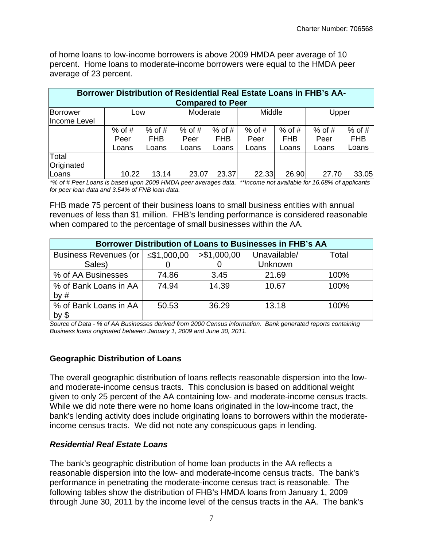of home loans to low-income borrowers is above 2009 HMDA peer average of 10 percent. Home loans to moderate-income borrowers were equal to the HMDA peer average of 23 percent.

| Borrower Distribution of Residential Real Estate Loans in FHB's AA-<br><b>Compared to Peer</b> |          |          |          |          |          |          |          |            |  |  |
|------------------------------------------------------------------------------------------------|----------|----------|----------|----------|----------|----------|----------|------------|--|--|
|                                                                                                |          |          |          |          |          |          |          |            |  |  |
| Borrower                                                                                       | Low      |          | Moderate |          | Middle   |          | Upper    |            |  |  |
| Income Level                                                                                   |          |          |          |          |          |          |          |            |  |  |
|                                                                                                | $%$ of # | $%$ of # | $%$ of # | $%$ of # | $%$ of # | $%$ of # | $%$ of # | $%$ of #   |  |  |
|                                                                                                | Peer     | FHB      | Peer     | FHB      | Peer     | FHB      | Peer     | <b>FHB</b> |  |  |
|                                                                                                | Loans    | Loans    | Loans    | Loans    | Loans    | Loans    | Loans    | Loans      |  |  |
| Total                                                                                          |          |          |          |          |          |          |          |            |  |  |
| Originated                                                                                     |          |          |          |          |          |          |          |            |  |  |
| Loans                                                                                          | 10.22    | 13.14    | 23.07    | 23.37    | 22.33    | 26.90    | 27.70    | 33.05      |  |  |

*\*% of # Peer Loans is based upon 2009 HMDA peer averages data. \*\*Income not available for 16.68% of applicants for peer loan data and 3.54% of FNB loan data.* 

FHB made 75 percent of their business loans to small business entities with annual revenues of less than \$1 million. FHB's lending performance is considered reasonable when compared to the percentage of small businesses within the AA.

| Borrower Distribution of Loans to Businesses in FHB's AA |             |              |              |       |  |  |  |  |  |  |
|----------------------------------------------------------|-------------|--------------|--------------|-------|--|--|--|--|--|--|
| <b>Business Revenues (or</b>                             | ≤\$1,000,00 | > \$1,000,00 | Unavailable/ | Total |  |  |  |  |  |  |
| Sales)                                                   |             |              | Unknown      |       |  |  |  |  |  |  |
| % of AA Businesses                                       | 74.86       | 3.45         | 21.69        | 100%  |  |  |  |  |  |  |
| % of Bank Loans in AA                                    | 74.94       | 14.39        | 10.67        | 100%  |  |  |  |  |  |  |
| by $#$                                                   |             |              |              |       |  |  |  |  |  |  |
| % of Bank Loans in AA                                    | 50.53       | 36.29        | 13.18        | 100%  |  |  |  |  |  |  |
| by $$$                                                   |             |              |              |       |  |  |  |  |  |  |

*Source of Data - % of AA Businesses derived from 2000 Census information. Bank generated reports containing Business loans originated between January 1, 2009 and June 30, 2011.* 

#### **Geographic Distribution of Loans**

 and moderate-income census tracts. This conclusion is based on additional weight The overall geographic distribution of loans reflects reasonable dispersion into the lowgiven to only 25 percent of the AA containing low- and moderate-income census tracts. While we did note there were no home loans originated in the low-income tract, the bank's lending activity does include originating loans to borrowers within the moderateincome census tracts. We did not note any conspicuous gaps in lending.

#### *Residential Real Estate Loans*

The bank's geographic distribution of home loan products in the AA reflects a reasonable dispersion into the low- and moderate-income census tracts. The bank's performance in penetrating the moderate-income census tract is reasonable. The following tables show the distribution of FHB's HMDA loans from January 1, 2009 through June 30, 2011 by the income level of the census tracts in the AA. The bank's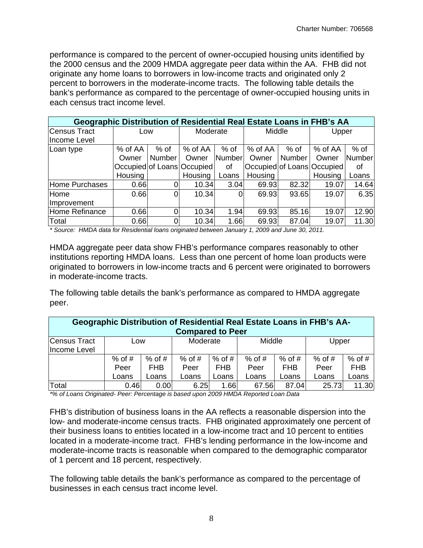performance is compared to the percent of owner-occupied housing units identified by the 2000 census and the 2009 HMDA aggregate peer data within the AA. FHB did not originate any home loans to borrowers in low-income tracts and originated only 2 percent to borrowers in the moderate-income tracts. The following table details the bank's performance as compared to the percentage of owner-occupied housing units in each census tract income level.

|                | Geographic Distribution of Residential Real Estate Loans in FHB's AA |          |                            |        |         |               |                            |        |  |  |  |
|----------------|----------------------------------------------------------------------|----------|----------------------------|--------|---------|---------------|----------------------------|--------|--|--|--|
| Census Tract   | Low                                                                  |          | Moderate                   |        | Middle  |               | Upper                      |        |  |  |  |
| Income Level   |                                                                      |          |                            |        |         |               |                            |        |  |  |  |
| Loan type      | % of AA                                                              | $%$ of   | % of AA                    | $%$ of | % of AA | $%$ of        | % of AA                    | $%$ of |  |  |  |
|                | Owner                                                                | Number   | Owner                      | Number | Owner   | <b>Number</b> | Owner                      | Number |  |  |  |
|                |                                                                      |          | Occupied of Loans Occupied | οf     |         |               | Occupied of Loans Occupied | οf     |  |  |  |
|                | Housing                                                              |          | Housing                    | Loans  | Housing |               | Housing                    | Loans  |  |  |  |
| Home Purchases | 0.66                                                                 | 0        | 10.34                      | 3.04   | 69.93   | 82.32         | 19.07                      | 14.64  |  |  |  |
| Home           | 0.66                                                                 | $\Omega$ | 10.34                      | 0      | 69.93   | 93.65         | 19.07                      | 6.35   |  |  |  |
| Improvement    |                                                                      |          |                            |        |         |               |                            |        |  |  |  |
| Home Refinance | 0.66                                                                 | 0        | 10.34                      | 1.94   | 69.93   | 85.16         | 19.07                      | 12.90  |  |  |  |
| Total          | 0.66                                                                 |          | 10.34                      | 1.66   | 69.93   | 87.04         | 19.07                      | 11.30  |  |  |  |

*\* Source: HMDA data for Residential loans originated between January 1, 2009 and June 30, 2011.* 

HMDA aggregate peer data show FHB's performance compares reasonably to other institutions reporting HMDA loans. Less than one percent of home loan products were originated to borrowers in low-income tracts and 6 percent were originated to borrowers in moderate-income tracts.

The following table details the bank's performance as compared to HMDA aggregate peer.

| <b>Geographic Distribution of Residential Real Estate Loans in FHB's AA-</b> |          |          |          |          |          |          |          |            |  |  |  |
|------------------------------------------------------------------------------|----------|----------|----------|----------|----------|----------|----------|------------|--|--|--|
| <b>Compared to Peer</b>                                                      |          |          |          |          |          |          |          |            |  |  |  |
| Census Tract                                                                 | Low      |          | Moderate |          | Middle   |          | Upper    |            |  |  |  |
| Income Level                                                                 |          |          |          |          |          |          |          |            |  |  |  |
|                                                                              | $%$ of # | $%$ of # | $%$ of # | $%$ of # | $%$ of # | $%$ of # | $%$ of # | $%$ of #   |  |  |  |
|                                                                              | Peer     | FHB      | Peer     | FHB      | Peer     | FHB.     | Peer     | <b>FHB</b> |  |  |  |
|                                                                              | Loans    | Loans    | Loans    | Loans    | Loans    | Loans    | Loans    | Loans      |  |  |  |
| Total                                                                        | 0.46     | 0.00     | 6.25     | 1.66     | 67.56    | 87.04    | 25.73    | 11.30      |  |  |  |

*\*% of Loans Originated- Peer: Percentage is based upon 2009 HMDA Reported Loan Data* 

FHB's distribution of business loans in the AA reflects a reasonable dispersion into the low- and moderate-income census tracts. FHB originated approximately one percent of their business loans to entities located in a low-income tract and 10 percent to entities located in a moderate-income tract. FHB's lending performance in the low-income and moderate-income tracts is reasonable when compared to the demographic comparator of 1 percent and 18 percent, respectively.

The following table details the bank's performance as compared to the percentage of businesses in each census tract income level.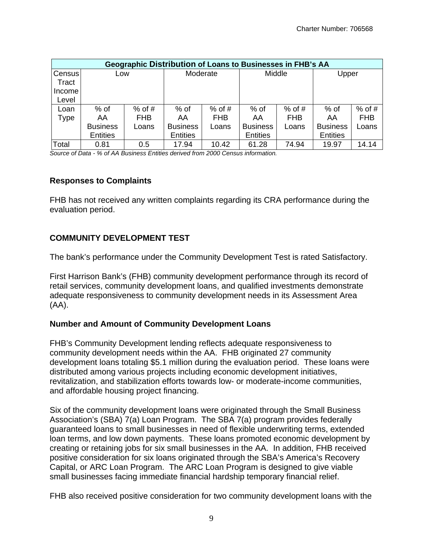|               | <b>Geographic Distribution of Loans to Businesses in FHB's AA</b> |            |                 |            |                 |            |                 |            |  |  |  |  |
|---------------|-------------------------------------------------------------------|------------|-----------------|------------|-----------------|------------|-----------------|------------|--|--|--|--|
| <b>Census</b> | Low                                                               |            | Moderate        |            | Middle          |            | Upper           |            |  |  |  |  |
| Tract         |                                                                   |            |                 |            |                 |            |                 |            |  |  |  |  |
| Income        |                                                                   |            |                 |            |                 |            |                 |            |  |  |  |  |
| Level         |                                                                   |            |                 |            |                 |            |                 |            |  |  |  |  |
| Loan          | $%$ of                                                            | $%$ of #   | $%$ of          | $%$ of #   | % of            | $%$ of #   | $%$ of          | $%$ of #   |  |  |  |  |
| Type          | AA                                                                | <b>FHB</b> | AA              | <b>FHB</b> | AA              | <b>FHB</b> | AA              | <b>FHB</b> |  |  |  |  |
|               | <b>Business</b>                                                   | Loans      | <b>Business</b> | Loans      | <b>Business</b> | Loans      | <b>Business</b> | Loans      |  |  |  |  |
|               | <b>Entities</b>                                                   |            | <b>Entities</b> |            | <b>Entities</b> |            | Entities        |            |  |  |  |  |
| Total         | 0.81                                                              | 0.5        | 17.94           | 10.42      | 61.28           | 74.94      | 19.97           | 14.14      |  |  |  |  |

*Source of Data - % of AA Business Entities derived from 2000 Census information.* 

#### **Responses to Complaints**

FHB has not received any written complaints regarding its CRA performance during the evaluation period.

#### **COMMUNITY DEVELOPMENT TEST**

The bank's performance under the Community Development Test is rated Satisfactory.

First Harrison Bank's (FHB) community development performance through its record of retail services, community development loans, and qualified investments demonstrate adequate responsiveness to community development needs in its Assessment Area (AA).

#### **Number and Amount of Community Development Loans**

FHB's Community Development lending reflects adequate responsiveness to community development needs within the AA. FHB originated 27 community development loans totaling \$5.1 million during the evaluation period. These loans were distributed among various projects including economic development initiatives, revitalization, and stabilization efforts towards low- or moderate-income communities, and affordable housing project financing.

small businesses facing immediate financial hardship temporary financial relief. Six of the community development loans were originated through the Small Business Association's (SBA) 7(a) Loan Program. The SBA 7(a) program provides federally guaranteed loans to small businesses in need of flexible underwriting terms, extended loan terms, and low down payments. These loans promoted economic development by creating or retaining jobs for six small businesses in the AA. In addition, FHB received positive consideration for six loans originated through the SBA's America's Recovery Capital, or ARC Loan Program. The ARC Loan Program is designed to give viable

FHB also received positive consideration for two community development loans with the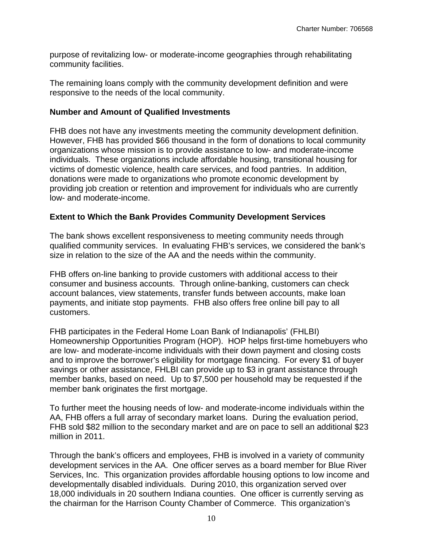purpose of revitalizing low- or moderate-income geographies through rehabilitating community facilities.

The remaining loans comply with the community development definition and were responsive to the needs of the local community.

#### **Number and Amount of Qualified Investments**

FHB does not have any investments meeting the community development definition. However, FHB has provided \$66 thousand in the form of donations to local community organizations whose mission is to provide assistance to low- and moderate-income individuals. These organizations include affordable housing, transitional housing for victims of domestic violence, health care services, and food pantries. In addition, donations were made to organizations who promote economic development by providing job creation or retention and improvement for individuals who are currently low- and moderate-income.

#### **Extent to Which the Bank Provides Community Development Services**

The bank shows excellent responsiveness to meeting community needs through qualified community services. In evaluating FHB's services, we considered the bank's size in relation to the size of the AA and the needs within the community.

FHB offers on-line banking to provide customers with additional access to their consumer and business accounts. Through online-banking, customers can check account balances, view statements, transfer funds between accounts, make loan payments, and initiate stop payments. FHB also offers free online bill pay to all customers.

FHB participates in the Federal Home Loan Bank of Indianapolis' (FHLBI) Homeownership Opportunities Program (HOP). HOP helps first-time homebuyers who are low- and moderate-income individuals with their down payment and closing costs and to improve the borrower's eligibility for mortgage financing. For every \$1 of buyer savings or other assistance, FHLBI can provide up to \$3 in grant assistance through member banks, based on need. Up to \$7,500 per household may be requested if the member bank originates the first mortgage.

To further meet the housing needs of low- and moderate-income individuals within the AA, FHB offers a full array of secondary market loans. During the evaluation period, FHB sold \$82 million to the secondary market and are on pace to sell an additional \$23 million in 2011.

Through the bank's officers and employees, FHB is involved in a variety of community development services in the AA. One officer serves as a board member for Blue River Services, Inc. This organization provides affordable housing options to low income and developmentally disabled individuals. During 2010, this organization served over 18,000 individuals in 20 southern Indiana counties. One officer is currently serving as the chairman for the Harrison County Chamber of Commerce. This organization's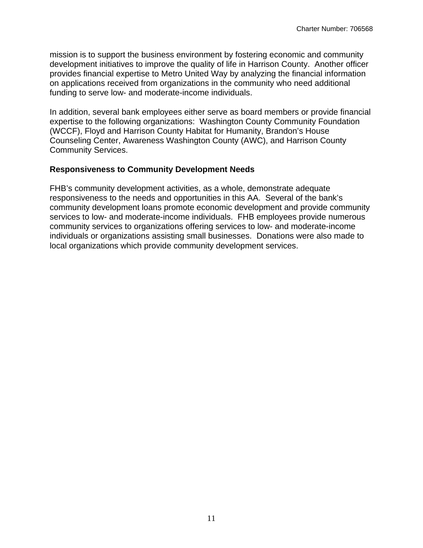funding to serve low- and moderate-income individuals. mission is to support the business environment by fostering economic and community development initiatives to improve the quality of life in Harrison County. Another officer provides financial expertise to Metro United Way by analyzing the financial information on applications received from organizations in the community who need additional

In addition, several bank employees either serve as board members or provide financial expertise to the following organizations: Washington County Community Foundation (WCCF), Floyd and Harrison County Habitat for Humanity, Brandon's House Counseling Center, Awareness Washington County (AWC), and Harrison County Community Services.

#### **Responsiveness to Community Development Needs**

FHB's community development activities, as a whole, demonstrate adequate responsiveness to the needs and opportunities in this AA. Several of the bank's community development loans promote economic development and provide community services to low- and moderate-income individuals. FHB employees provide numerous community services to organizations offering services to low- and moderate-income individuals or organizations assisting small businesses. Donations were also made to local organizations which provide community development services.